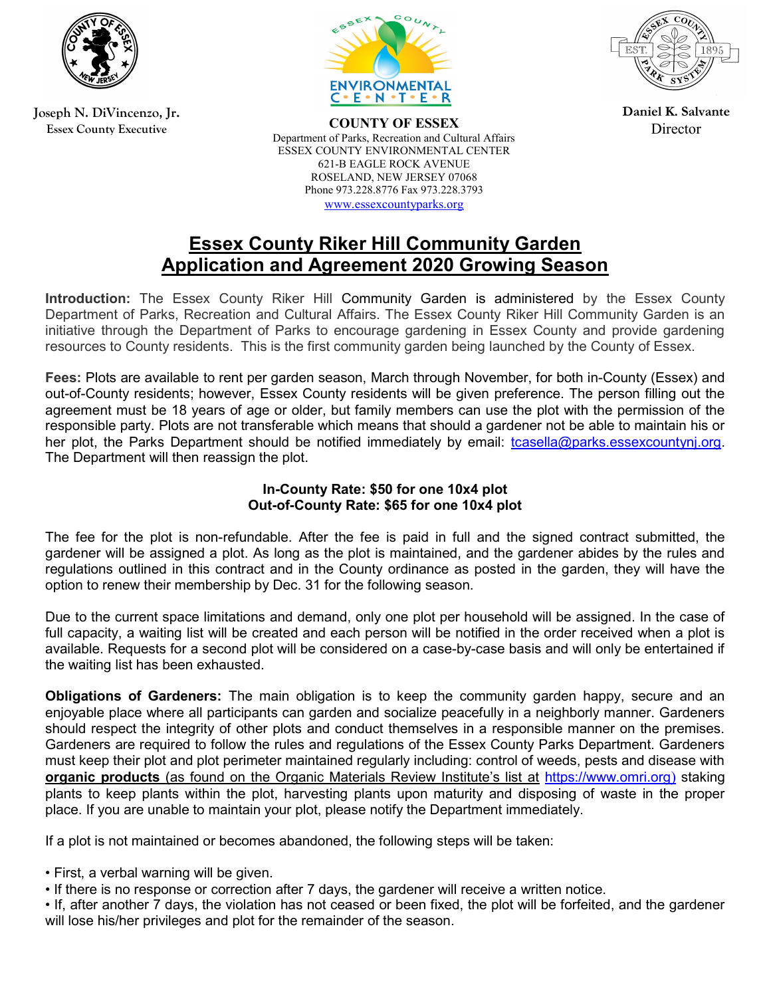

Joseph N. DiVincenzo, Jr. Essex County Executive



COUNTY OF ESSEX Department of Parks, Recreation and Cultural Affairs ESSEX COUNTY ENVIRONMENTAL CENTER 621-B EAGLE ROCK AVENUE ROSELAND, NEW JERSEY 07068 Phone 973.228.8776 Fax 973.228.3793 www.essexcountyparks.org



Daniel K. Salvante **Director** 

## Essex County Riker Hill Community Garden Application and Agreement 2020 Growing Season

Introduction: The Essex County Riker Hill Community Garden is administered by the Essex County Department of Parks, Recreation and Cultural Affairs. The Essex County Riker Hill Community Garden is an initiative through the Department of Parks to encourage gardening in Essex County and provide gardening resources to County residents. This is the first community garden being launched by the County of Essex.

Fees: Plots are available to rent per garden season, March through November, for both in-County (Essex) and out-of-County residents; however, Essex County residents will be given preference. The person filling out the agreement must be 18 years of age or older, but family members can use the plot with the permission of the responsible party. Plots are not transferable which means that should a gardener not be able to maintain his or her plot, the Parks Department should be notified immediately by email: tcasella@parks.essexcountynj.org. The Department will then reassign the plot.

## In-County Rate: \$50 for one 10x4 plot Out-of-County Rate: \$65 for one 10x4 plot

The fee for the plot is non-refundable. After the fee is paid in full and the signed contract submitted, the gardener will be assigned a plot. As long as the plot is maintained, and the gardener abides by the rules and regulations outlined in this contract and in the County ordinance as posted in the garden, they will have the option to renew their membership by Dec. 31 for the following season.

Due to the current space limitations and demand, only one plot per household will be assigned. In the case of full capacity, a waiting list will be created and each person will be notified in the order received when a plot is available. Requests for a second plot will be considered on a case-by-case basis and will only be entertained if the waiting list has been exhausted.

Obligations of Gardeners: The main obligation is to keep the community garden happy, secure and an enjoyable place where all participants can garden and socialize peacefully in a neighborly manner. Gardeners should respect the integrity of other plots and conduct themselves in a responsible manner on the premises. Gardeners are required to follow the rules and regulations of the Essex County Parks Department. Gardeners must keep their plot and plot perimeter maintained regularly including: control of weeds, pests and disease with organic products (as found on the Organic Materials Review Institute's list at https://www.omri.org) staking plants to keep plants within the plot, harvesting plants upon maturity and disposing of waste in the proper place. If you are unable to maintain your plot, please notify the Department immediately.

If a plot is not maintained or becomes abandoned, the following steps will be taken:

- First, a verbal warning will be given.
- If there is no response or correction after 7 days, the gardener will receive a written notice.
- If, after another 7 days, the violation has not ceased or been fixed, the plot will be forfeited, and the gardener will lose his/her privileges and plot for the remainder of the season.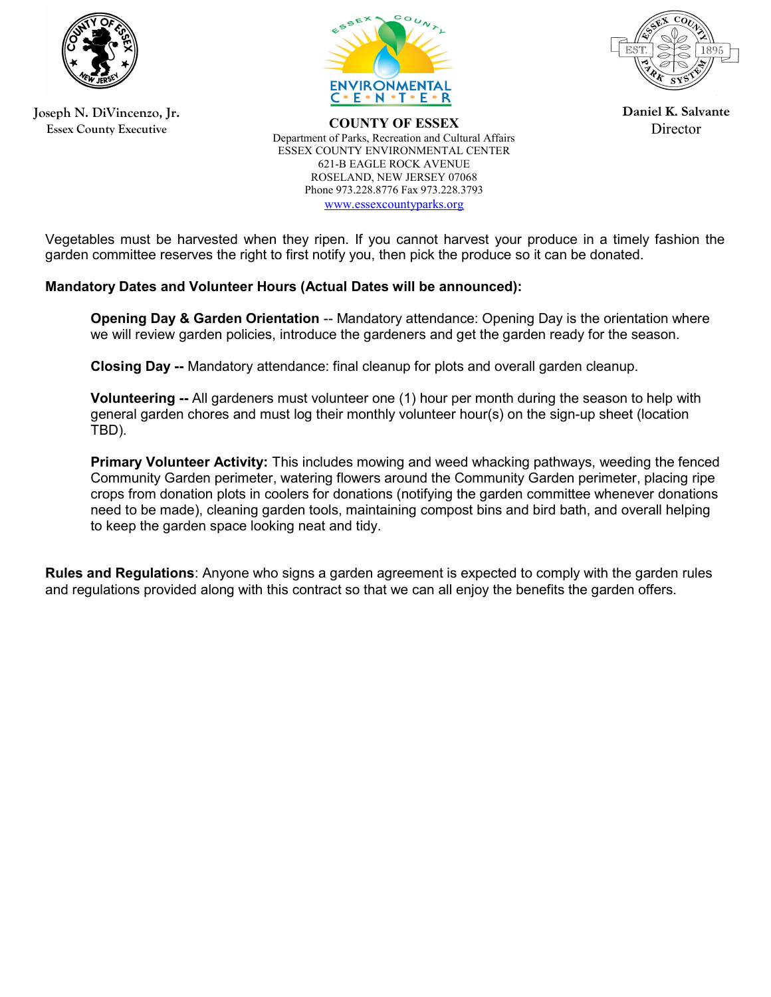

Joseph N. DiVincenzo, Jr. Essex County Executive



COUNTY OF ESSEX Department of Parks, Recreation and Cultural Affairs ESSEX COUNTY ENVIRONMENTAL CENTER 621-B EAGLE ROCK AVENUE ROSELAND, NEW JERSEY 07068 Phone 973.228.8776 Fax 973.228.3793 www.essexcountyparks.org



Daniel K. Salvante **Director** 

Vegetables must be harvested when they ripen. If you cannot harvest your produce in a timely fashion the garden committee reserves the right to first notify you, then pick the produce so it can be donated.

## Mandatory Dates and Volunteer Hours (Actual Dates will be announced):

**Opening Day & Garden Orientation -- Mandatory attendance: Opening Day is the orientation where** we will review garden policies, introduce the gardeners and get the garden ready for the season.

Closing Day -- Mandatory attendance: final cleanup for plots and overall garden cleanup.

Volunteering -- All gardeners must volunteer one (1) hour per month during the season to help with general garden chores and must log their monthly volunteer hour(s) on the sign-up sheet (location TBD).

Primary Volunteer Activity: This includes mowing and weed whacking pathways, weeding the fenced Community Garden perimeter, watering flowers around the Community Garden perimeter, placing ripe crops from donation plots in coolers for donations (notifying the garden committee whenever donations need to be made), cleaning garden tools, maintaining compost bins and bird bath, and overall helping to keep the garden space looking neat and tidy.

Rules and Regulations: Anyone who signs a garden agreement is expected to comply with the garden rules and regulations provided along with this contract so that we can all enjoy the benefits the garden offers.